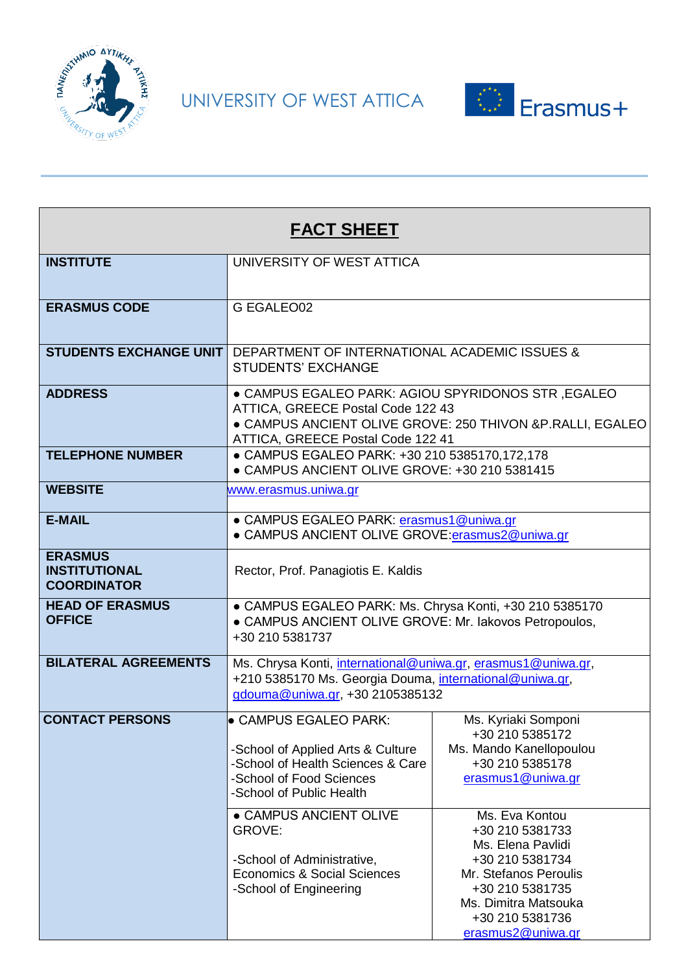

UNIVERSITY OF WEST ATTICA



| <b>FACT SHEET</b>                                            |                                                                                                                                                                                          |                                                                                                                                                                     |
|--------------------------------------------------------------|------------------------------------------------------------------------------------------------------------------------------------------------------------------------------------------|---------------------------------------------------------------------------------------------------------------------------------------------------------------------|
| <b>INSTITUTE</b>                                             | UNIVERSITY OF WEST ATTICA                                                                                                                                                                |                                                                                                                                                                     |
| <b>ERASMUS CODE</b>                                          | G EGALEO02                                                                                                                                                                               |                                                                                                                                                                     |
| <b>STUDENTS EXCHANGE UNIT</b>                                | DEPARTMENT OF INTERNATIONAL ACADEMIC ISSUES &<br><b>STUDENTS' EXCHANGE</b>                                                                                                               |                                                                                                                                                                     |
| <b>ADDRESS</b>                                               | ● CAMPUS EGALEO PARK: AGIOU SPYRIDONOS STR, EGALEO<br>ATTICA, GREECE Postal Code 122 43<br>ATTICA, GREECE Postal Code 122 41                                                             | · CAMPUS ANCIENT OLIVE GROVE: 250 THIVON &P.RALLI, EGALEO                                                                                                           |
| <b>TELEPHONE NUMBER</b>                                      | • CAMPUS EGALEO PARK: +30 210 5385170,172,178<br>• CAMPUS ANCIENT OLIVE GROVE: +30 210 5381415                                                                                           |                                                                                                                                                                     |
| <b>WEBSITE</b>                                               | www.erasmus.uniwa.gr                                                                                                                                                                     |                                                                                                                                                                     |
| <b>E-MAIL</b>                                                | • CAMPUS EGALEO PARK: erasmus1@uniwa.gr<br>• CAMPUS ANCIENT OLIVE GROVE:erasmus2@uniwa.gr                                                                                                |                                                                                                                                                                     |
| <b>ERASMUS</b><br><b>INSTITUTIONAL</b><br><b>COORDINATOR</b> | Rector, Prof. Panagiotis E. Kaldis                                                                                                                                                       |                                                                                                                                                                     |
| <b>HEAD OF ERASMUS</b><br><b>OFFICE</b>                      | • CAMPUS EGALEO PARK: Ms. Chrysa Konti, +30 210 5385170<br>• CAMPUS ANCIENT OLIVE GROVE: Mr. lakovos Petropoulos,<br>+30 210 5381737                                                     |                                                                                                                                                                     |
| <b>BILATERAL AGREEMENTS</b>                                  | Ms. Chrysa Konti, international@uniwa.gr, erasmus1@uniwa.gr,<br>+210 5385170 Ms. Georgia Douma, international@uniwa.gr,<br>gdouma@uniwa.gr, +30 2105385132                               |                                                                                                                                                                     |
| <b>CONTACT PERSONS</b>                                       | <b>• CAMPUS EGALEO PARK:</b><br>-School of Applied Arts & Culture<br>-School of Health Sciences & Care<br>-School of Food Sciences<br>-School of Public Health<br>• CAMPUS ANCIENT OLIVE | Ms. Kyriaki Somponi<br>+30 210 5385172<br>Ms. Mando Kanellopoulou<br>+30 210 5385178<br>erasmus1@uniwa.gr<br>Ms. Eva Kontou                                         |
|                                                              | <b>GROVE:</b><br>-School of Administrative,<br>Economics & Social Sciences<br>-School of Engineering                                                                                     | +30 210 5381733<br>Ms. Elena Pavlidi<br>+30 210 5381734<br>Mr. Stefanos Peroulis<br>+30 210 5381735<br>Ms. Dimitra Matsouka<br>+30 210 5381736<br>erasmus2@uniwa.gr |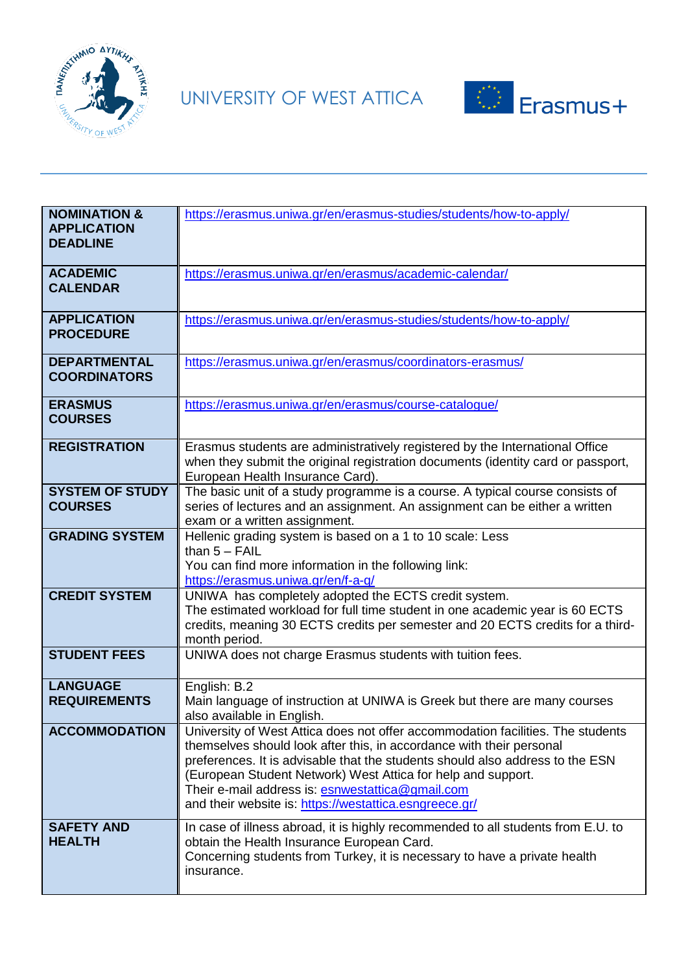



| <b>NOMINATION &amp;</b><br><b>APPLICATION</b><br><b>DEADLINE</b> | https://erasmus.uniwa.gr/en/erasmus-studies/students/how-to-apply/                                                                                                                                                                                                                                                                                                                                                     |
|------------------------------------------------------------------|------------------------------------------------------------------------------------------------------------------------------------------------------------------------------------------------------------------------------------------------------------------------------------------------------------------------------------------------------------------------------------------------------------------------|
| <b>ACADEMIC</b><br><b>CALENDAR</b>                               | https://erasmus.uniwa.gr/en/erasmus/academic-calendar/                                                                                                                                                                                                                                                                                                                                                                 |
| <b>APPLICATION</b><br><b>PROCEDURE</b>                           | https://erasmus.uniwa.gr/en/erasmus-studies/students/how-to-apply/                                                                                                                                                                                                                                                                                                                                                     |
| <b>DEPARTMENTAL</b><br><b>COORDINATORS</b>                       | https://erasmus.uniwa.gr/en/erasmus/coordinators-erasmus/                                                                                                                                                                                                                                                                                                                                                              |
| <b>ERASMUS</b><br><b>COURSES</b>                                 | https://erasmus.uniwa.gr/en/erasmus/course-catalogue/                                                                                                                                                                                                                                                                                                                                                                  |
| <b>REGISTRATION</b>                                              | Erasmus students are administratively registered by the International Office<br>when they submit the original registration documents (identity card or passport,<br>European Health Insurance Card).                                                                                                                                                                                                                   |
| <b>SYSTEM OF STUDY</b><br><b>COURSES</b>                         | The basic unit of a study programme is a course. A typical course consists of<br>series of lectures and an assignment. An assignment can be either a written<br>exam or a written assignment.                                                                                                                                                                                                                          |
| <b>GRADING SYSTEM</b>                                            | Hellenic grading system is based on a 1 to 10 scale: Less<br>than $5 - FAIL$<br>You can find more information in the following link:<br>https://erasmus.uniwa.gr/en/f-a-q/                                                                                                                                                                                                                                             |
| <b>CREDIT SYSTEM</b>                                             | UNIWA has completely adopted the ECTS credit system.<br>The estimated workload for full time student in one academic year is 60 ECTS<br>credits, meaning 30 ECTS credits per semester and 20 ECTS credits for a third-<br>month period.                                                                                                                                                                                |
| <b>STUDENT FEES</b>                                              | UNIWA does not charge Erasmus students with tuition fees.                                                                                                                                                                                                                                                                                                                                                              |
| <b>LANGUAGE</b><br><b>REQUIREMENTS</b>                           | English: B.2<br>Main language of instruction at UNIWA is Greek but there are many courses<br>also available in English.                                                                                                                                                                                                                                                                                                |
| <b>ACCOMMODATION</b>                                             | University of West Attica does not offer accommodation facilities. The students<br>themselves should look after this, in accordance with their personal<br>preferences. It is advisable that the students should also address to the ESN<br>(European Student Network) West Attica for help and support.<br>Their e-mail address is: esnwestattica@gmail.com<br>and their website is: https://westattica.esngreece.gr/ |
| <b>SAFETY AND</b><br><b>HEALTH</b>                               | In case of illness abroad, it is highly recommended to all students from E.U. to<br>obtain the Health Insurance European Card.<br>Concerning students from Turkey, it is necessary to have a private health<br>insurance.                                                                                                                                                                                              |